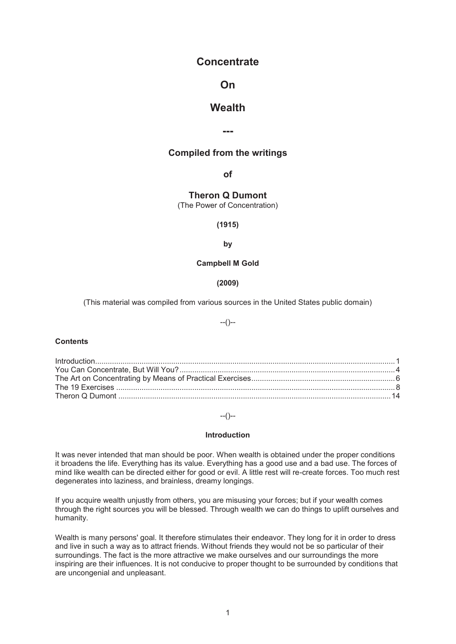# **Concentrate**

# **On**

# **Wealth**

**---** 

# **Compiled from the writings**

**of** 

**Theron Q Dumont** 

(The Power of Concentration)

## **(1915)**

#### **by**

## **Campbell M Gold**

**(2009)** 

(This material was compiled from various sources in the United States public domain)

# --()--

#### **Contents**

# --()--

## **Introduction**

It was never intended that man should be poor. When wealth is obtained under the proper conditions it broadens the life. Everything has its value. Everything has a good use and a bad use. The forces of mind like wealth can be directed either for good or evil. A little rest will re-create forces. Too much rest degenerates into laziness, and brainless, dreamy longings.

If you acquire wealth unjustly from others, you are misusing your forces; but if your wealth comes through the right sources you will be blessed. Through wealth we can do things to uplift ourselves and humanity.

Wealth is many persons' goal. It therefore stimulates their endeavor. They long for it in order to dress and live in such a way as to attract friends. Without friends they would not be so particular of their surroundings. The fact is the more attractive we make ourselves and our surroundings the more inspiring are their influences. It is not conducive to proper thought to be surrounded by conditions that are uncongenial and unpleasant.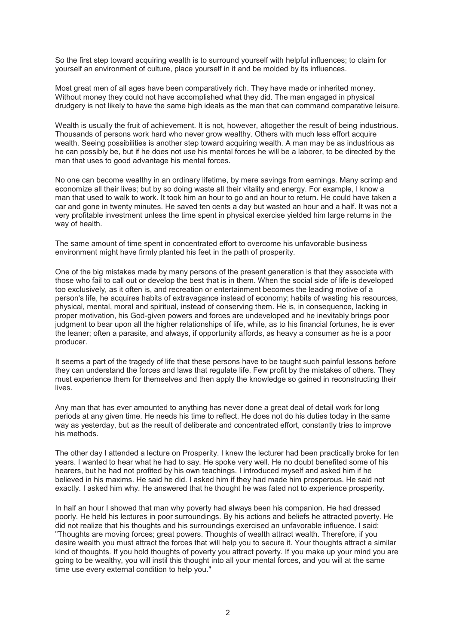So the first step toward acquiring wealth is to surround yourself with helpful influences; to claim for yourself an environment of culture, place yourself in it and be molded by its influences.

Most great men of all ages have been comparatively rich. They have made or inherited money. Without money they could not have accomplished what they did. The man engaged in physical drudgery is not likely to have the same high ideals as the man that can command comparative leisure.

Wealth is usually the fruit of achievement. It is not, however, altogether the result of being industrious. Thousands of persons work hard who never grow wealthy. Others with much less effort acquire wealth. Seeing possibilities is another step toward acquiring wealth. A man may be as industrious as he can possibly be, but if he does not use his mental forces he will be a laborer, to be directed by the man that uses to good advantage his mental forces.

No one can become wealthy in an ordinary lifetime, by mere savings from earnings. Many scrimp and economize all their lives; but by so doing waste all their vitality and energy. For example, I know a man that used to walk to work. It took him an hour to go and an hour to return. He could have taken a car and gone in twenty minutes. He saved ten cents a day but wasted an hour and a half. It was not a very profitable investment unless the time spent in physical exercise yielded him large returns in the way of health.

The same amount of time spent in concentrated effort to overcome his unfavorable business environment might have firmly planted his feet in the path of prosperity.

One of the big mistakes made by many persons of the present generation is that they associate with those who fail to call out or develop the best that is in them. When the social side of life is developed too exclusively, as it often is, and recreation or entertainment becomes the leading motive of a person's life, he acquires habits of extravagance instead of economy; habits of wasting his resources, physical, mental, moral and spiritual, instead of conserving them. He is, in consequence, lacking in proper motivation, his God-given powers and forces are undeveloped and he inevitably brings poor judgment to bear upon all the higher relationships of life, while, as to his financial fortunes, he is ever the leaner; often a parasite, and always, if opportunity affords, as heavy a consumer as he is a poor producer.

It seems a part of the tragedy of life that these persons have to be taught such painful lessons before they can understand the forces and laws that regulate life. Few profit by the mistakes of others. They must experience them for themselves and then apply the knowledge so gained in reconstructing their lives.

Any man that has ever amounted to anything has never done a great deal of detail work for long periods at any given time. He needs his time to reflect. He does not do his duties today in the same way as yesterday, but as the result of deliberate and concentrated effort, constantly tries to improve his methods.

The other day I attended a lecture on Prosperity. I knew the lecturer had been practically broke for ten years. I wanted to hear what he had to say. He spoke very well. He no doubt benefited some of his hearers, but he had not profited by his own teachings. I introduced myself and asked him if he believed in his maxims. He said he did. I asked him if they had made him prosperous. He said not exactly. I asked him why. He answered that he thought he was fated not to experience prosperity.

In half an hour I showed that man why poverty had always been his companion. He had dressed poorly. He held his lectures in poor surroundings. By his actions and beliefs he attracted poverty. He did not realize that his thoughts and his surroundings exercised an unfavorable influence. I said: "Thoughts are moving forces; great powers. Thoughts of wealth attract wealth. Therefore, if you desire wealth you must attract the forces that will help you to secure it. Your thoughts attract a similar kind of thoughts. If you hold thoughts of poverty you attract poverty. If you make up your mind you are going to be wealthy, you will instil this thought into all your mental forces, and you will at the same time use every external condition to help you."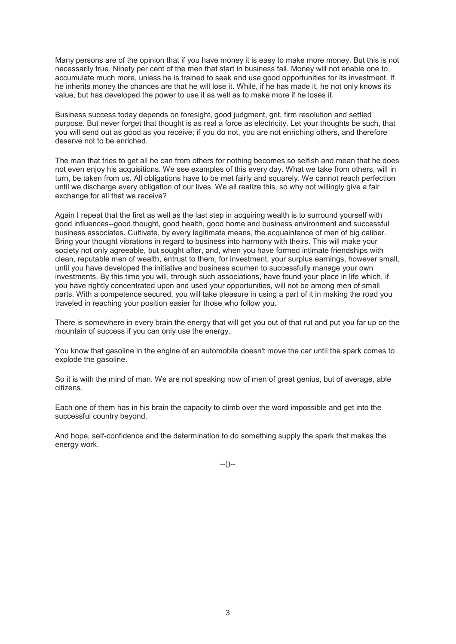Many persons are of the opinion that if you have money it is easy to make more money. But this is not necessarily true. Ninety per cent of the men that start in business fail. Money will not enable one to accumulate much more, unless he is trained to seek and use good opportunities for its investment. If he inherits money the chances are that he will lose it. While, if he has made it, he not only knows its value, but has developed the power to use it as well as to make more if he loses it.

Business success today depends on foresight, good judgment, grit, firm resolution and settled purpose. But never forget that thought is as real a force as electricity. Let your thoughts be such, that you will send out as good as you receive; if you do not, you are not enriching others, and therefore deserve not to be enriched.

The man that tries to get all he can from others for nothing becomes so selfish and mean that he does not even enjoy his acquisitions. We see examples of this every day. What we take from others, will in turn, be taken from us. All obligations have to be met fairly and squarely. We cannot reach perfection until we discharge every obligation of our lives. We all realize this, so why not willingly give a fair exchange for all that we receive?

Again I repeat that the first as well as the last step in acquiring wealth is to surround yourself with good influences--good thought, good health, good home and business environment and successful business associates. Cultivate, by every legitimate means, the acquaintance of men of big caliber. Bring your thought vibrations in regard to business into harmony with theirs. This will make your society not only agreeable, but sought after, and, when you have formed intimate friendships with clean, reputable men of wealth, entrust to them, for investment, your surplus earnings, however small, until you have developed the initiative and business acumen to successfully manage your own investments. By this time you will, through such associations, have found your place in life which, if you have rightly concentrated upon and used your opportunities, will not be among men of small parts. With a competence secured, you will take pleasure in using a part of it in making the road you traveled in reaching your position easier for those who follow you.

There is somewhere in every brain the energy that will get you out of that rut and put you far up on the mountain of success if you can only use the energy.

You know that gasoline in the engine of an automobile doesn't move the car until the spark comes to explode the gasoline.

So it is with the mind of man. We are not speaking now of men of great genius, but of average, able citizens.

Each one of them has in his brain the capacity to climb over the word impossible and get into the successful country beyond.

And hope, self-confidence and the determination to do something supply the spark that makes the energy work.

--()--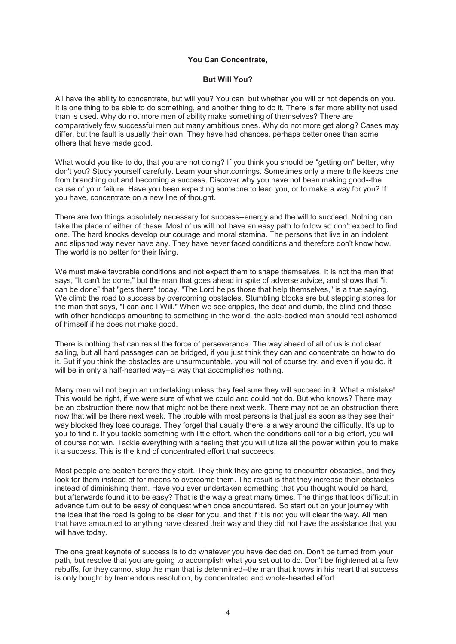## **You Can Concentrate,**

### **But Will You?**

All have the ability to concentrate, but will you? You can, but whether you will or not depends on you. It is one thing to be able to do something, and another thing to do it. There is far more ability not used than is used. Why do not more men of ability make something of themselves? There are comparatively few successful men but many ambitious ones. Why do not more get along? Cases may differ, but the fault is usually their own. They have had chances, perhaps better ones than some others that have made good.

What would you like to do, that you are not doing? If you think you should be "getting on" better, why don't you? Study yourself carefully. Learn your shortcomings. Sometimes only a mere trifle keeps one from branching out and becoming a success. Discover why you have not been making good--the cause of your failure. Have you been expecting someone to lead you, or to make a way for you? If you have, concentrate on a new line of thought.

There are two things absolutely necessary for success--energy and the will to succeed. Nothing can take the place of either of these. Most of us will not have an easy path to follow so don't expect to find one. The hard knocks develop our courage and moral stamina. The persons that live in an indolent and slipshod way never have any. They have never faced conditions and therefore don't know how. The world is no better for their living.

We must make favorable conditions and not expect them to shape themselves. It is not the man that says, "It can't be done," but the man that goes ahead in spite of adverse advice, and shows that "it can be done" that "gets there" today. "The Lord helps those that help themselves," is a true saying. We climb the road to success by overcoming obstacles. Stumbling blocks are but stepping stones for the man that says, "I can and I Will." When we see cripples, the deaf and dumb, the blind and those with other handicaps amounting to something in the world, the able-bodied man should feel ashamed of himself if he does not make good.

There is nothing that can resist the force of perseverance. The way ahead of all of us is not clear sailing, but all hard passages can be bridged, if you just think they can and concentrate on how to do it. But if you think the obstacles are unsurmountable, you will not of course try, and even if you do, it will be in only a half-hearted way--a way that accomplishes nothing.

Many men will not begin an undertaking unless they feel sure they will succeed in it. What a mistake! This would be right, if we were sure of what we could and could not do. But who knows? There may be an obstruction there now that might not be there next week. There may not be an obstruction there now that will be there next week. The trouble with most persons is that just as soon as they see their way blocked they lose courage. They forget that usually there is a way around the difficulty. It's up to you to find it. If you tackle something with little effort, when the conditions call for a big effort, you will of course not win. Tackle everything with a feeling that you will utilize all the power within you to make it a success. This is the kind of concentrated effort that succeeds.

Most people are beaten before they start. They think they are going to encounter obstacles, and they look for them instead of for means to overcome them. The result is that they increase their obstacles instead of diminishing them. Have you ever undertaken something that you thought would be hard, but afterwards found it to be easy? That is the way a great many times. The things that look difficult in advance turn out to be easy of conquest when once encountered. So start out on your journey with the idea that the road is going to be clear for you, and that if it is not you will clear the way. All men that have amounted to anything have cleared their way and they did not have the assistance that you will have today.

The one great keynote of success is to do whatever you have decided on. Don't be turned from your path, but resolve that you are going to accomplish what you set out to do. Don't be frightened at a few rebuffs, for they cannot stop the man that is determined--the man that knows in his heart that success is only bought by tremendous resolution, by concentrated and whole-hearted effort.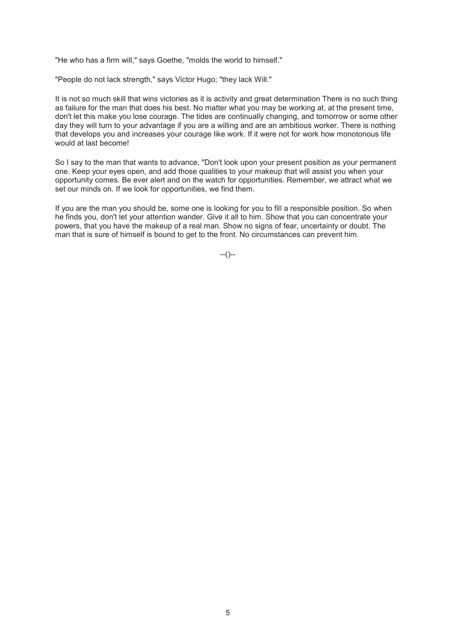"He who has a firm will," says Goethe, "molds the world to himself."

"People do not lack strength," says Victor Hugo; "they lack Will."

It is not so much skill that wins victories as it is activity and great determination There is no such thing as failure for the man that does his best. No matter what you may be working at, at the present time, don't let this make you lose courage. The tides are continually changing, and tomorrow or some other day they will turn to your advantage if you are a willing and are an ambitious worker. There is nothing that develops you and increases your courage like work. If it were not for work how monotonous life would at last become!

So I say to the man that wants to advance, "Don't look upon your present position as your permanent one. Keep your eyes open, and add those qualities to your makeup that will assist you when your opportunity comes. Be ever alert and on the watch for opportunities. Remember, we attract what we set our minds on. If we look for opportunities, we find them.

If you are the man you should be, some one is looking for you to fill a responsible position. So when he finds you, don't let your attention wander. Give it all to him. Show that you can concentrate your powers, that you have the makeup of a real man. Show no signs of fear, uncertainty or doubt. The man that is sure of himself is bound to get to the front. No circumstances can prevent him.

 $-(-)$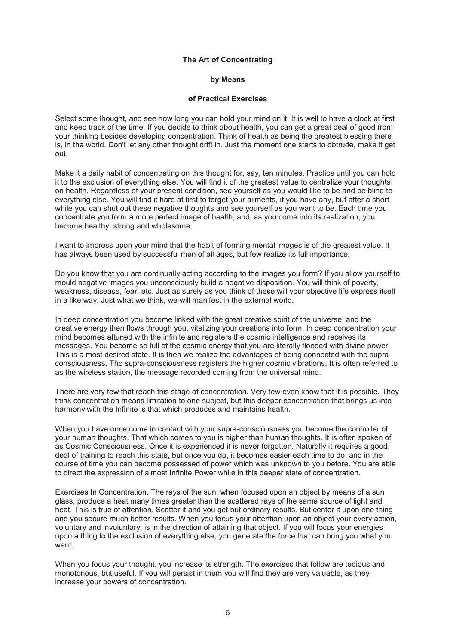#### **The Art of Concentrating**

## **by Means**

## **of Practical Exercises**

Select some thought, and see how long you can hold your mind on it. It is well to have a clock at first and keep track of the time. If you decide to think about health, you can get a great deal of good from your thinking besides developing concentration. Think of health as being the greatest blessing there is, in the world. Don't let any other thought drift in. Just the moment one starts to obtrude, make it get out.

Make it a daily habit of concentrating on this thought for, say, ten minutes. Practice until you can hold it to the exclusion of everything else. You will find it of the greatest value to centralize your thoughts on health. Regardless of your present condition, see yourself as you would like to be and be blind to everything else. You will find it hard at first to forget your ailments, if you have any, but after a short while you can shut out these negative thoughts and see yourself as you want to be. Each time you concentrate you form a more perfect image of health, and, as you come into its realization, you become healthy, strong and wholesome.

I want to impress upon your mind that the habit of forming mental images is of the greatest value. It has always been used by successful men of all ages, but few realize its full importance.

Do you know that you are continually acting according to the images you form? If you allow yourself to mould negative images you unconsciously build a negative disposition. You will think of poverty, weakness, disease, fear, etc. Just as surely as you think of these will your objective life express itself in a like way. Just what we think, we will manifest in the external world.

In deep concentration you become linked with the great creative spirit of the universe, and the creative energy then flows through you, vitalizing your creations into form. In deep concentration your mind becomes attuned with the infinite and registers the cosmic intelligence and receives its messages. You become so full of the cosmic energy that you are literally flooded with divine power. This is a most desired state. It is then we realize the advantages of being connected with the supraconsciousness. The supra-consciousness registers the higher cosmic vibrations. It is often referred to as the wireless station, the message recorded coming from the universal mind.

There are very few that reach this stage of concentration. Very few even know that it is possible. They think concentration means limitation to one subject, but this deeper concentration that brings us into harmony with the Infinite is that which produces and maintains health.

When you have once come in contact with your supra-consciousness you become the controller of your human thoughts. That which comes to you is higher than human thoughts. It is often spoken of as Cosmic Consciousness. Once it is experienced it is never forgotten. Naturally it requires a good deal of training to reach this state, but once you do, it becomes easier each time to do, and in the course of time you can become possessed of power which was unknown to you before. You are able to direct the expression of almost Infinite Power while in this deeper state of concentration.

Exercises In Concentration. The rays of the sun, when focused upon an object by means of a sun glass, produce a heat many times greater than the scattered rays of the same source of light and heat. This is true of attention. Scatter it and you get but ordinary results. But center it upon one thing and you secure much better results. When you focus your attention upon an object your every action, voluntary and involuntary, is in the direction of attaining that object. If you will focus your energies upon a thing to the exclusion of everything else, you generate the force that can bring you what you want.

When you focus your thought, you increase its strength. The exercises that follow are tedious and monotonous, but useful. If you will persist in them you will find they are very valuable, as they increase your powers of concentration.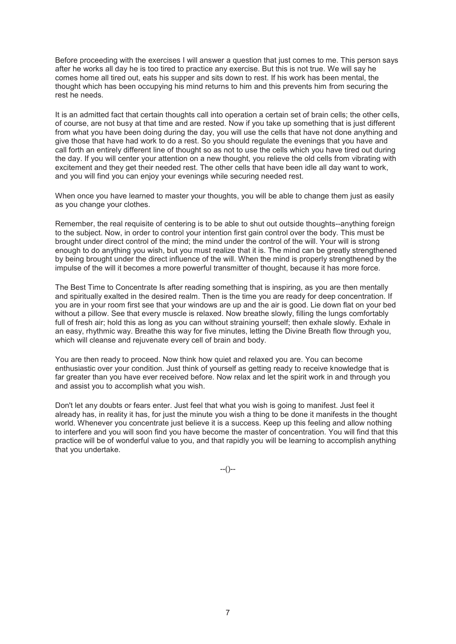Before proceeding with the exercises I will answer a question that just comes to me. This person says after he works all day he is too tired to practice any exercise. But this is not true. We will say he comes home all tired out, eats his supper and sits down to rest. If his work has been mental, the thought which has been occupying his mind returns to him and this prevents him from securing the rest he needs.

It is an admitted fact that certain thoughts call into operation a certain set of brain cells; the other cells, of course, are not busy at that time and are rested. Now if you take up something that is just different from what you have been doing during the day, you will use the cells that have not done anything and give those that have had work to do a rest. So you should regulate the evenings that you have and call forth an entirely different line of thought so as not to use the cells which you have tired out during the day. If you will center your attention on a new thought, you relieve the old cells from vibrating with excitement and they get their needed rest. The other cells that have been idle all day want to work, and you will find you can enjoy your evenings while securing needed rest.

When once you have learned to master your thoughts, you will be able to change them just as easily as you change your clothes.

Remember, the real requisite of centering is to be able to shut out outside thoughts--anything foreign to the subject. Now, in order to control your intention first gain control over the body. This must be brought under direct control of the mind; the mind under the control of the will. Your will is strong enough to do anything you wish, but you must realize that it is. The mind can be greatly strengthened by being brought under the direct influence of the will. When the mind is properly strengthened by the impulse of the will it becomes a more powerful transmitter of thought, because it has more force.

The Best Time to Concentrate Is after reading something that is inspiring, as you are then mentally and spiritually exalted in the desired realm. Then is the time you are ready for deep concentration. If you are in your room first see that your windows are up and the air is good. Lie down flat on your bed without a pillow. See that every muscle is relaxed. Now breathe slowly, filling the lungs comfortably full of fresh air; hold this as long as you can without straining yourself; then exhale slowly. Exhale in an easy, rhythmic way. Breathe this way for five minutes, letting the Divine Breath flow through you, which will cleanse and rejuvenate every cell of brain and body.

You are then ready to proceed. Now think how quiet and relaxed you are. You can become enthusiastic over your condition. Just think of yourself as getting ready to receive knowledge that is far greater than you have ever received before. Now relax and let the spirit work in and through you and assist you to accomplish what you wish.

Don't let any doubts or fears enter. Just feel that what you wish is going to manifest. Just feel it already has, in reality it has, for just the minute you wish a thing to be done it manifests in the thought world. Whenever you concentrate just believe it is a success. Keep up this feeling and allow nothing to interfere and you will soon find you have become the master of concentration. You will find that this practice will be of wonderful value to you, and that rapidly you will be learning to accomplish anything that you undertake.

--()--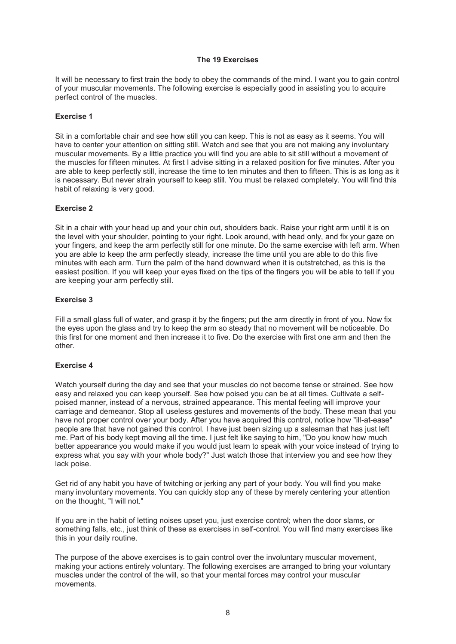#### **The 19 Exercises**

It will be necessary to first train the body to obey the commands of the mind. I want you to gain control of your muscular movements. The following exercise is especially good in assisting you to acquire perfect control of the muscles.

## **Exercise 1**

Sit in a comfortable chair and see how still you can keep. This is not as easy as it seems. You will have to center your attention on sitting still. Watch and see that you are not making any involuntary muscular movements. By a little practice you will find you are able to sit still without a movement of the muscles for fifteen minutes. At first I advise sitting in a relaxed position for five minutes. After you are able to keep perfectly still, increase the time to ten minutes and then to fifteen. This is as long as it is necessary. But never strain yourself to keep still. You must be relaxed completely. You will find this habit of relaxing is very good.

## **Exercise 2**

Sit in a chair with your head up and your chin out, shoulders back. Raise your right arm until it is on the level with your shoulder, pointing to your right. Look around, with head only, and fix your gaze on your fingers, and keep the arm perfectly still for one minute. Do the same exercise with left arm. When you are able to keep the arm perfectly steady, increase the time until you are able to do this five minutes with each arm. Turn the palm of the hand downward when it is outstretched, as this is the easiest position. If you will keep your eyes fixed on the tips of the fingers you will be able to tell if you are keeping your arm perfectly still.

#### **Exercise 3**

Fill a small glass full of water, and grasp it by the fingers; put the arm directly in front of you. Now fix the eyes upon the glass and try to keep the arm so steady that no movement will be noticeable. Do this first for one moment and then increase it to five. Do the exercise with first one arm and then the other.

## **Exercise 4**

Watch yourself during the day and see that your muscles do not become tense or strained. See how easy and relaxed you can keep yourself. See how poised you can be at all times. Cultivate a selfpoised manner, instead of a nervous, strained appearance. This mental feeling will improve your carriage and demeanor. Stop all useless gestures and movements of the body. These mean that you have not proper control over your body. After you have acquired this control, notice how "ill-at-ease" people are that have not gained this control. I have just been sizing up a salesman that has just left me. Part of his body kept moving all the time. I just felt like saying to him, "Do you know how much better appearance you would make if you would just learn to speak with your voice instead of trying to express what you say with your whole body?" Just watch those that interview you and see how they lack poise.

Get rid of any habit you have of twitching or jerking any part of your body. You will find you make many involuntary movements. You can quickly stop any of these by merely centering your attention on the thought, "I will not."

If you are in the habit of letting noises upset you, just exercise control; when the door slams, or something falls, etc., just think of these as exercises in self-control. You will find many exercises like this in your daily routine.

The purpose of the above exercises is to gain control over the involuntary muscular movement, making your actions entirely voluntary. The following exercises are arranged to bring your voluntary muscles under the control of the will, so that your mental forces may control your muscular movements.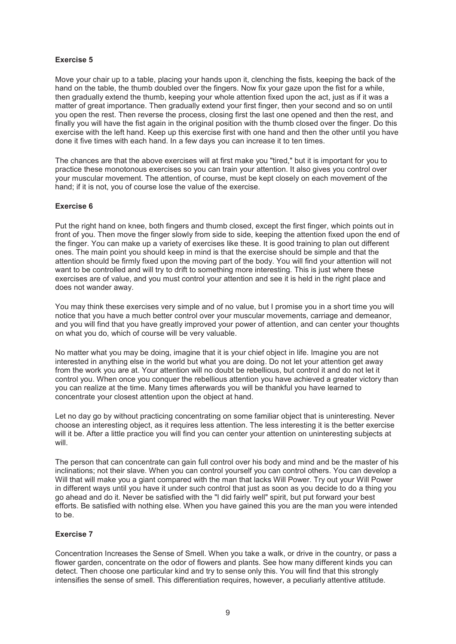# **Exercise 5**

Move your chair up to a table, placing your hands upon it, clenching the fists, keeping the back of the hand on the table, the thumb doubled over the fingers. Now fix your gaze upon the fist for a while, then gradually extend the thumb, keeping your whole attention fixed upon the act, just as if it was a matter of great importance. Then gradually extend your first finger, then your second and so on until you open the rest. Then reverse the process, closing first the last one opened and then the rest, and finally you will have the fist again in the original position with the thumb closed over the finger. Do this exercise with the left hand. Keep up this exercise first with one hand and then the other until you have done it five times with each hand. In a few days you can increase it to ten times.

The chances are that the above exercises will at first make you "tired," but it is important for you to practice these monotonous exercises so you can train your attention. It also gives you control over your muscular movement. The attention, of course, must be kept closely on each movement of the hand; if it is not, you of course lose the value of the exercise.

## **Exercise 6**

Put the right hand on knee, both fingers and thumb closed, except the first finger, which points out in front of you. Then move the finger slowly from side to side, keeping the attention fixed upon the end of the finger. You can make up a variety of exercises like these. It is good training to plan out different ones. The main point you should keep in mind is that the exercise should be simple and that the attention should be firmly fixed upon the moving part of the body. You will find your attention will not want to be controlled and will try to drift to something more interesting. This is just where these exercises are of value, and you must control your attention and see it is held in the right place and does not wander away.

You may think these exercises very simple and of no value, but I promise you in a short time you will notice that you have a much better control over your muscular movements, carriage and demeanor, and you will find that you have greatly improved your power of attention, and can center your thoughts on what you do, which of course will be very valuable.

No matter what you may be doing, imagine that it is your chief object in life. Imagine you are not interested in anything else in the world but what you are doing. Do not let your attention get away from the work you are at. Your attention will no doubt be rebellious, but control it and do not let it control you. When once you conquer the rebellious attention you have achieved a greater victory than you can realize at the time. Many times afterwards you will be thankful you have learned to concentrate your closest attention upon the object at hand.

Let no day go by without practicing concentrating on some familiar object that is uninteresting. Never choose an interesting object, as it requires less attention. The less interesting it is the better exercise will it be. After a little practice you will find you can center your attention on uninteresting subjects at will.

The person that can concentrate can gain full control over his body and mind and be the master of his inclinations; not their slave. When you can control yourself you can control others. You can develop a Will that will make you a giant compared with the man that lacks Will Power. Try out your Will Power in different ways until you have it under such control that just as soon as you decide to do a thing you go ahead and do it. Never be satisfied with the "I did fairly well" spirit, but put forward your best efforts. Be satisfied with nothing else. When you have gained this you are the man you were intended to be.

## **Exercise 7**

Concentration Increases the Sense of Smell. When you take a walk, or drive in the country, or pass a flower garden, concentrate on the odor of flowers and plants. See how many different kinds you can detect. Then choose one particular kind and try to sense only this. You will find that this strongly intensifies the sense of smell. This differentiation requires, however, a peculiarly attentive attitude.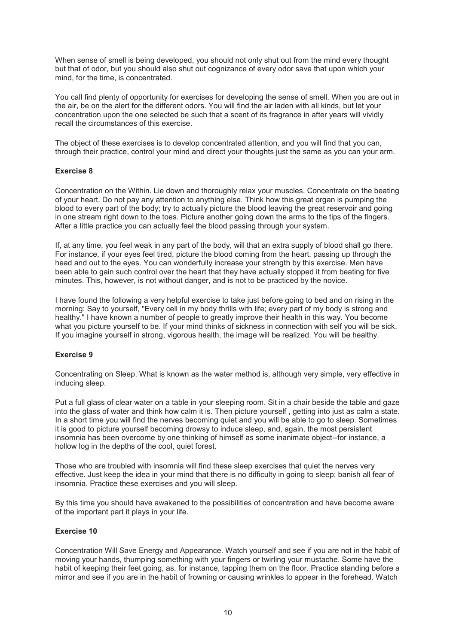When sense of smell is being developed, you should not only shut out from the mind every thought but that of odor, but you should also shut out cognizance of every odor save that upon which your mind, for the time, is concentrated.

You call find plenty of opportunity for exercises for developing the sense of smell. When you are out in the air, be on the alert for the different odors. You will find the air laden with all kinds, but let your concentration upon the one selected be such that a scent of its fragrance in after years will vividly recall the circumstances of this exercise.

The object of these exercises is to develop concentrated attention, and you will find that you can, through their practice, control your mind and direct your thoughts just the same as you can your arm.

## **Exercise 8**

Concentration on the Within. Lie down and thoroughly relax your muscles. Concentrate on the beating of your heart. Do not pay any attention to anything else. Think how this great organ is pumping the blood to every part of the body; try to actually picture the blood leaving the great reservoir and going in one stream right down to the toes. Picture another going down the arms to the tips of the fingers. After a little practice you can actually feel the blood passing through your system.

If, at any time, you feel weak in any part of the body, will that an extra supply of blood shall go there. For instance, if your eyes feel tired, picture the blood coming from the heart, passing up through the head and out to the eyes. You can wonderfully increase your strength by this exercise. Men have been able to gain such control over the heart that they have actually stopped it from beating for five minutes. This, however, is not without danger, and is not to be practiced by the novice.

I have found the following a very helpful exercise to take just before going to bed and on rising in the morning: Say to yourself, "Every cell in my body thrills with life; every part of my body is strong and healthy." I have known a number of people to greatly improve their health in this way. You become what you picture yourself to be. If your mind thinks of sickness in connection with self you will be sick. If you imagine yourself in strong, vigorous health, the image will be realized. You will be healthy.

## **Exercise 9**

Concentrating on Sleep. What is known as the water method is, although very simple, very effective in inducing sleep.

Put a full glass of clear water on a table in your sleeping room. Sit in a chair beside the table and gaze into the glass of water and think how calm it is. Then picture yourself , getting into just as calm a state. In a short time you will find the nerves becoming quiet and you will be able to go to sleep. Sometimes it is good to picture yourself becoming drowsy to induce sleep, and, again, the most persistent insomnia has been overcome by one thinking of himself as some inanimate object--for instance, a hollow log in the depths of the cool, quiet forest.

Those who are troubled with insomnia will find these sleep exercises that quiet the nerves very effective. Just keep the idea in your mind that there is no difficulty in going to sleep; banish all fear of insomnia. Practice these exercises and you will sleep.

By this time you should have awakened to the possibilities of concentration and have become aware of the important part it plays in your life.

#### **Exercise 10**

Concentration Will Save Energy and Appearance. Watch yourself and see if you are not in the habit of moving your hands, thumping something with your fingers or twirling your mustache. Some have the habit of keeping their feet going, as, for instance, tapping them on the floor. Practice standing before a mirror and see if you are in the habit of frowning or causing wrinkles to appear in the forehead. Watch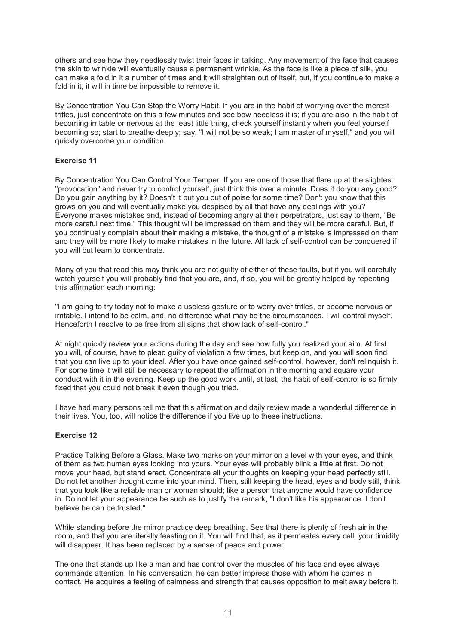others and see how they needlessly twist their faces in talking. Any movement of the face that causes the skin to wrinkle will eventually cause a permanent wrinkle. As the face is like a piece of silk, you can make a fold in it a number of times and it will straighten out of itself, but, if you continue to make a fold in it, it will in time be impossible to remove it.

By Concentration You Can Stop the Worry Habit. If you are in the habit of worrying over the merest trifles, just concentrate on this a few minutes and see bow needless it is; if you are also in the habit of becoming irritable or nervous at the least little thing, check yourself instantly when you feel yourself becoming so; start to breathe deeply; say, "I will not be so weak; I am master of myself," and you will quickly overcome your condition.

## **Exercise 11**

By Concentration You Can Control Your Temper. If you are one of those that flare up at the slightest "provocation" and never try to control yourself, just think this over a minute. Does it do you any good? Do you gain anything by it? Doesn't it put you out of poise for some time? Don't you know that this grows on you and will eventually make you despised by all that have any dealings with you? Everyone makes mistakes and, instead of becoming angry at their perpetrators, just say to them, "Be more careful next time." This thought will be impressed on them and they will be more careful. But, if you continually complain about their making a mistake, the thought of a mistake is impressed on them and they will be more likely to make mistakes in the future. All lack of self-control can be conquered if you will but learn to concentrate.

Many of you that read this may think you are not guilty of either of these faults, but if you will carefully watch yourself you will probably find that you are, and, if so, you will be greatly helped by repeating this affirmation each morning:

"I am going to try today not to make a useless gesture or to worry over trifles, or become nervous or irritable. I intend to be calm, and, no difference what may be the circumstances, I will control myself. Henceforth I resolve to be free from all signs that show lack of self-control."

At night quickly review your actions during the day and see how fully you realized your aim. At first you will, of course, have to plead guilty of violation a few times, but keep on, and you will soon find that you can live up to your ideal. After you have once gained self-control, however, don't relinquish it. For some time it will still be necessary to repeat the affirmation in the morning and square your conduct with it in the evening. Keep up the good work until, at last, the habit of self-control is so firmly fixed that you could not break it even though you tried.

I have had many persons tell me that this affirmation and daily review made a wonderful difference in their lives. You, too, will notice the difference if you live up to these instructions.

## **Exercise 12**

Practice Talking Before a Glass. Make two marks on your mirror on a level with your eyes, and think of them as two human eyes looking into yours. Your eyes will probably blink a little at first. Do not move your head, but stand erect. Concentrate all your thoughts on keeping your head perfectly still. Do not let another thought come into your mind. Then, still keeping the head, eyes and body still, think that you look like a reliable man or woman should; like a person that anyone would have confidence in. Do not let your appearance be such as to justify the remark, "I don't like his appearance. I don't believe he can be trusted."

While standing before the mirror practice deep breathing. See that there is plenty of fresh air in the room, and that you are literally feasting on it. You will find that, as it permeates every cell, your timidity will disappear. It has been replaced by a sense of peace and power.

The one that stands up like a man and has control over the muscles of his face and eyes always commands attention. In his conversation, he can better impress those with whom he comes in contact. He acquires a feeling of calmness and strength that causes opposition to melt away before it.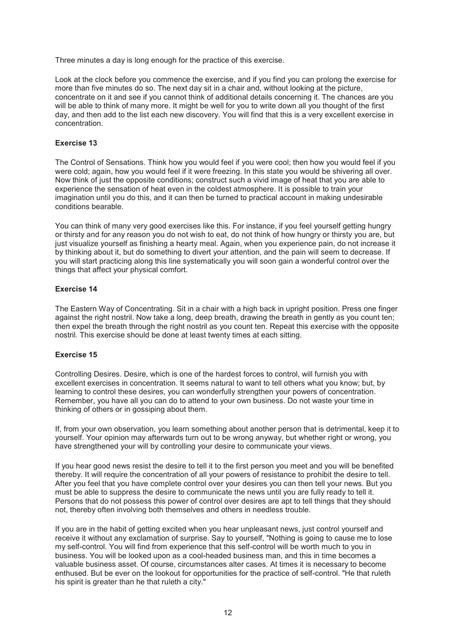Three minutes a day is long enough for the practice of this exercise.

Look at the clock before you commence the exercise, and if you find you can prolong the exercise for more than five minutes do so. The next day sit in a chair and, without looking at the picture, concentrate on it and see if you cannot think of additional details concerning it. The chances are you will be able to think of many more. It might be well for you to write down all you thought of the first day, and then add to the list each new discovery. You will find that this is a very excellent exercise in concentration.

# **Exercise 13**

The Control of Sensations. Think how you would feel if you were cool; then how you would feel if you were cold; again, how you would feel if it were freezing. In this state you would be shivering all over. Now think of just the opposite conditions; construct such a vivid image of heat that you are able to experience the sensation of heat even in the coldest atmosphere. It is possible to train your imagination until you do this, and it can then be turned to practical account in making undesirable conditions bearable.

You can think of many very good exercises like this. For instance, if you feel yourself getting hungry or thirsty and for any reason you do not wish to eat, do not think of how hungry or thirsty you are, but just visualize yourself as finishing a hearty meal. Again, when you experience pain, do not increase it by thinking about it, but do something to divert your attention, and the pain will seem to decrease. If you will start practicing along this line systematically you will soon gain a wonderful control over the things that affect your physical comfort.

## **Exercise 14**

The Eastern Way of Concentrating. Sit in a chair with a high back in upright position. Press one finger against the right nostril. Now take a long, deep breath, drawing the breath in gently as you count ten; then expel the breath through the right nostril as you count ten. Repeat this exercise with the opposite nostril. This exercise should be done at least twenty times at each sitting.

## **Exercise 15**

Controlling Desires. Desire, which is one of the hardest forces to control, will furnish you with excellent exercises in concentration. It seems natural to want to tell others what you know; but, by learning to control these desires, you can wonderfully strengthen your powers of concentration. Remember, you have all you can do to attend to your own business. Do not waste your time in thinking of others or in gossiping about them.

If, from your own observation, you learn something about another person that is detrimental, keep it to yourself. Your opinion may afterwards turn out to be wrong anyway, but whether right or wrong, you have strengthened your will by controlling your desire to communicate your views.

If you hear good news resist the desire to tell it to the first person you meet and you will be benefited thereby. It will require the concentration of all your powers of resistance to prohibit the desire to tell. After you feel that you have complete control over your desires you can then tell your news. But you must be able to suppress the desire to communicate the news until you are fully ready to tell it. Persons that do not possess this power of control over desires are apt to tell things that they should not, thereby often involving both themselves and others in needless trouble.

If you are in the habit of getting excited when you hear unpleasant news, just control yourself and receive it without any exclamation of surprise. Say to yourself, "Nothing is going to cause me to lose my self-control. You will find from experience that this self-control will be worth much to you in business. You will be looked upon as a cool-headed business man, and this in time becomes a valuable business asset. Of course, circumstances alter cases. At times it is necessary to become enthused. But be ever on the lookout for opportunities for the practice of self-control. "He that ruleth his spirit is greater than he that ruleth a city."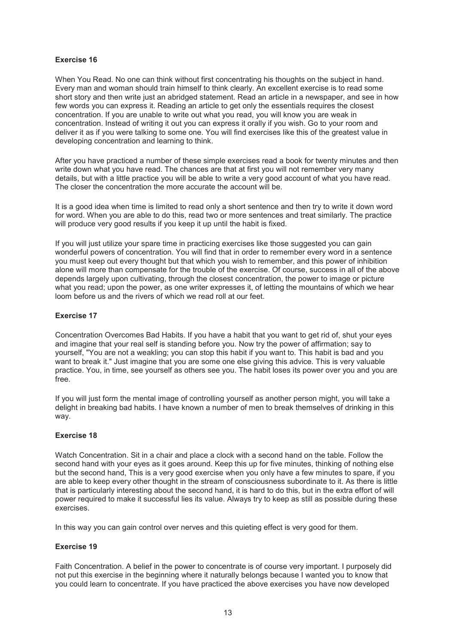# **Exercise 16**

When You Read. No one can think without first concentrating his thoughts on the subject in hand. Every man and woman should train himself to think clearly. An excellent exercise is to read some short story and then write just an abridged statement. Read an article in a newspaper, and see in how few words you can express it. Reading an article to get only the essentials requires the closest concentration. If you are unable to write out what you read, you will know you are weak in concentration. Instead of writing it out you can express it orally if you wish. Go to your room and deliver it as if you were talking to some one. You will find exercises like this of the greatest value in developing concentration and learning to think.

After you have practiced a number of these simple exercises read a book for twenty minutes and then write down what you have read. The chances are that at first you will not remember very many details, but with a little practice you will be able to write a very good account of what you have read. The closer the concentration the more accurate the account will be.

It is a good idea when time is limited to read only a short sentence and then try to write it down word for word. When you are able to do this, read two or more sentences and treat similarly. The practice will produce very good results if you keep it up until the habit is fixed.

If you will just utilize your spare time in practicing exercises like those suggested you can gain wonderful powers of concentration. You will find that in order to remember every word in a sentence you must keep out every thought but that which you wish to remember, and this power of inhibition alone will more than compensate for the trouble of the exercise. Of course, success in all of the above depends largely upon cultivating, through the closest concentration, the power to image or picture what you read; upon the power, as one writer expresses it, of letting the mountains of which we hear loom before us and the rivers of which we read roll at our feet.

## **Exercise 17**

Concentration Overcomes Bad Habits. If you have a habit that you want to get rid of, shut your eyes and imagine that your real self is standing before you. Now try the power of affirmation; say to yourself, "You are not a weakling; you can stop this habit if you want to. This habit is bad and you want to break it." Just imagine that you are some one else giving this advice. This is very valuable practice. You, in time, see yourself as others see you. The habit loses its power over you and you are free.

If you will just form the mental image of controlling yourself as another person might, you will take a delight in breaking bad habits. I have known a number of men to break themselves of drinking in this way.

## **Exercise 18**

Watch Concentration. Sit in a chair and place a clock with a second hand on the table. Follow the second hand with your eyes as it goes around. Keep this up for five minutes, thinking of nothing else but the second hand, This is a very good exercise when you only have a few minutes to spare, if you are able to keep every other thought in the stream of consciousness subordinate to it. As there is little that is particularly interesting about the second hand, it is hard to do this, but in the extra effort of will power required to make it successful lies its value. Always try to keep as still as possible during these exercises.

In this way you can gain control over nerves and this quieting effect is very good for them.

## **Exercise 19**

Faith Concentration. A belief in the power to concentrate is of course very important. I purposely did not put this exercise in the beginning where it naturally belongs because I wanted you to know that you could learn to concentrate. If you have practiced the above exercises you have now developed